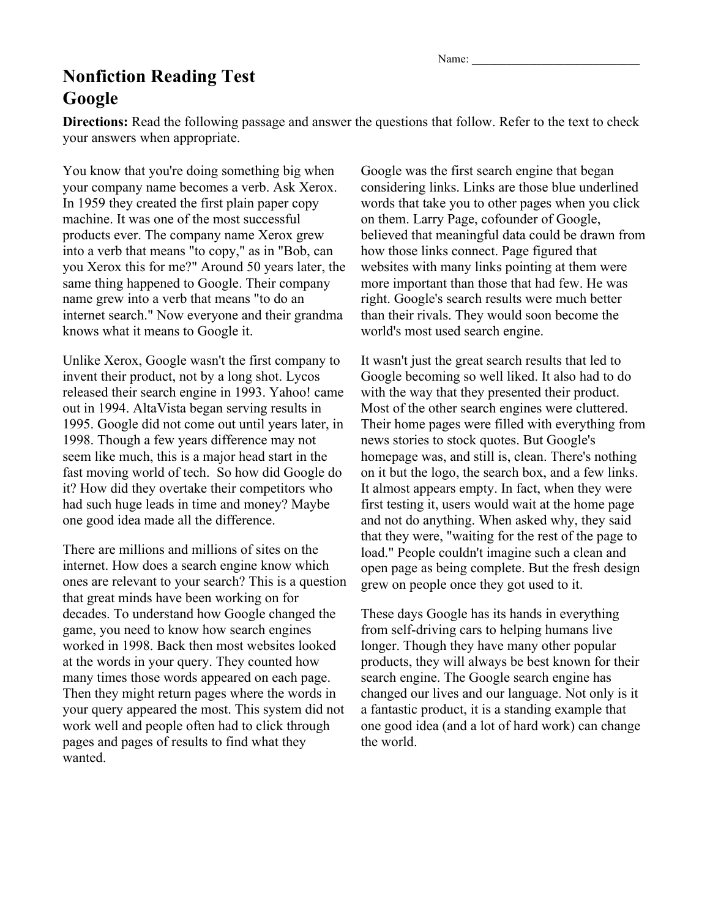Name:

## **Nonfiction Reading Test Google**

**Directions:** Read the following passage and answer the questions that follow. Refer to the text to check your answers when appropriate.

You know that you're doing something big when your company name becomes a verb. Ask Xerox. In 1959 they created the first plain paper copy machine. It was one of the most successful products ever. The company name Xerox grew into a verb that means "to copy," as in "Bob, can you Xerox this for me?" Around 50 years later, the same thing happened to Google. Their company name grew into a verb that means "to do an internet search." Now everyone and their grandma knows what it means to Google it.

Unlike Xerox, Google wasn't the first company to invent their product, not by a long shot. Lycos released their search engine in 1993. Yahoo! came out in 1994. AltaVista began serving results in 1995. Google did not come out until years later, in 1998. Though a few years difference may not seem like much, this is a major head start in the fast moving world of tech. So how did Google do it? How did they overtake their competitors who had such huge leads in time and money? Maybe one good idea made all the difference.

There are millions and millions of sites on the internet. How does a search engine know which ones are relevant to your search? This is a question that great minds have been working on for decades. To understand how Google changed the game, you need to know how search engines worked in 1998. Back then most websites looked at the words in your query. They counted how many times those words appeared on each page. Then they might return pages where the words in your query appeared the most. This system did not work well and people often had to click through pages and pages of results to find what they wanted.

Google was the first search engine that began considering links. Links are those blue underlined words that take you to other pages when you click on them. Larry Page, cofounder of Google, believed that meaningful data could be drawn from how those links connect. Page figured that websites with many links pointing at them were more important than those that had few. He was right. Google's search results were much better than their rivals. They would soon become the world's most used search engine.

It wasn't just the great search results that led to Google becoming so well liked. It also had to do with the way that they presented their product. Most of the other search engines were cluttered. Their home pages were filled with everything from news stories to stock quotes. But Google's homepage was, and still is, clean. There's nothing on it but the logo, the search box, and a few links. It almost appears empty. In fact, when they were first testing it, users would wait at the home page and not do anything. When asked why, they said that they were, "waiting for the rest of the page to load." People couldn't imagine such a clean and open page as being complete. But the fresh design grew on people once they got used to it.

These days Google has its hands in everything from self-driving cars to helping humans live longer. Though they have many other popular products, they will always be best known for their search engine. The Google search engine has changed our lives and our language. Not only is it a fantastic product, it is a standing example that one good idea (and a lot of hard work) can change the world.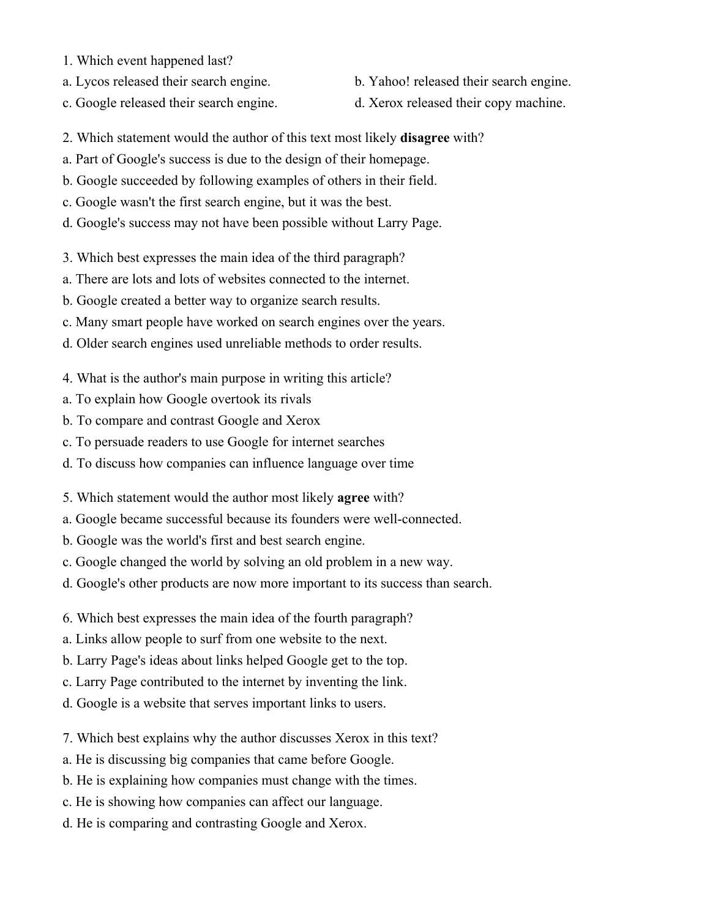- 1. Which event happened last?
- 
- c. Google released their search engine. d. Xerox released their copy machine.
- a. Lycos released their search engine. b. Yahoo! released their search engine.
	-
- 2. Which statement would the author of this text most likely **disagree** with?
- a. Part of Google's success is due to the design of their homepage.
- b. Google succeeded by following examples of others in their field.
- c. Google wasn't the first search engine, but it was the best.
- d. Google's success may not have been possible without Larry Page.
- 3. Which best expresses the main idea of the third paragraph?
- a. There are lots and lots of websites connected to the internet.
- b. Google created a better way to organize search results.
- c. Many smart people have worked on search engines over the years.
- d. Older search engines used unreliable methods to order results.
- 4. What is the author's main purpose in writing this article?
- a. To explain how Google overtook its rivals
- b. To compare and contrast Google and Xerox
- c. To persuade readers to use Google for internet searches
- d. To discuss how companies can influence language over time
- 5. Which statement would the author most likely **agree** with?
- a. Google became successful because its founders were well-connected.
- b. Google was the world's first and best search engine.
- c. Google changed the world by solving an old problem in a new way.
- d. Google's other products are now more important to its success than search.
- 6. Which best expresses the main idea of the fourth paragraph?
- a. Links allow people to surf from one website to the next.
- b. Larry Page's ideas about links helped Google get to the top.
- c. Larry Page contributed to the internet by inventing the link.
- d. Google is a website that serves important links to users.
- 7. Which best explains why the author discusses Xerox in this text?
- a. He is discussing big companies that came before Google.
- b. He is explaining how companies must change with the times.
- c. He is showing how companies can affect our language.
- d. He is comparing and contrasting Google and Xerox.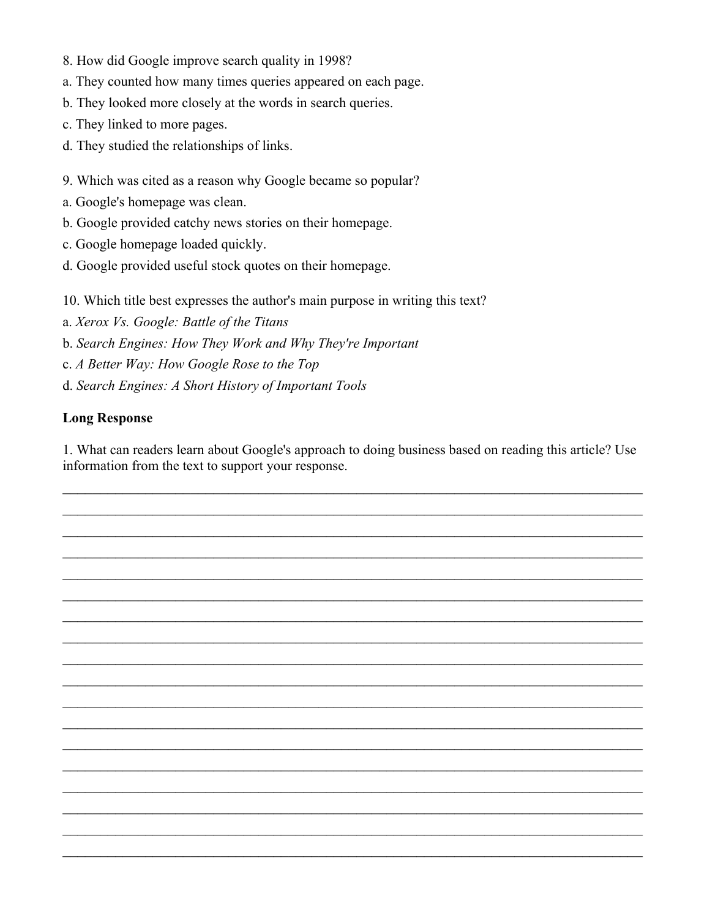- 8. How did Google improve search quality in 1998?
- a. They counted how many times queries appeared on each page.
- b. They looked more closely at the words in search queries.
- c. They linked to more pages.
- d. They studied the relationships of links.
- 9. Which was cited as a reason why Google became so popular?
- a. Google's homepage was clean.
- b. Google provided catchy news stories on their homepage.
- c. Google homepage loaded quickly.
- d. Google provided useful stock quotes on their homepage.
- 10. Which title best expresses the author's main purpose in writing this text?
- a. *Xerox Vs. Google: Battle of the Titans*
- b. *Search Engines: How They Work and Why They're Important*
- c. *A Better Way: How Google Rose to the Top*
- d. *Search Engines: A Short History of Important Tools*

## **Long Response**

1. What can readers learn about Google's approach to doing business based on reading this article? Use information from the text to support your response.

 $\mathcal{L}_\text{max} = \mathcal{L}_\text{max} = \mathcal{L}_\text{max} = \mathcal{L}_\text{max} = \mathcal{L}_\text{max} = \mathcal{L}_\text{max} = \mathcal{L}_\text{max} = \mathcal{L}_\text{max} = \mathcal{L}_\text{max} = \mathcal{L}_\text{max} = \mathcal{L}_\text{max} = \mathcal{L}_\text{max} = \mathcal{L}_\text{max} = \mathcal{L}_\text{max} = \mathcal{L}_\text{max} = \mathcal{L}_\text{max} = \mathcal{L}_\text{max} = \mathcal{L}_\text{max} = \mathcal{$ 

 $\mathcal{L}_\text{max} = \mathcal{L}_\text{max} = \mathcal{L}_\text{max} = \mathcal{L}_\text{max} = \mathcal{L}_\text{max} = \mathcal{L}_\text{max} = \mathcal{L}_\text{max} = \mathcal{L}_\text{max} = \mathcal{L}_\text{max} = \mathcal{L}_\text{max} = \mathcal{L}_\text{max} = \mathcal{L}_\text{max} = \mathcal{L}_\text{max} = \mathcal{L}_\text{max} = \mathcal{L}_\text{max} = \mathcal{L}_\text{max} = \mathcal{L}_\text{max} = \mathcal{L}_\text{max} = \mathcal{$ 

 $\mathcal{L}_\text{max} = \mathcal{L}_\text{max} = \mathcal{L}_\text{max} = \mathcal{L}_\text{max} = \mathcal{L}_\text{max} = \mathcal{L}_\text{max} = \mathcal{L}_\text{max} = \mathcal{L}_\text{max} = \mathcal{L}_\text{max} = \mathcal{L}_\text{max} = \mathcal{L}_\text{max} = \mathcal{L}_\text{max} = \mathcal{L}_\text{max} = \mathcal{L}_\text{max} = \mathcal{L}_\text{max} = \mathcal{L}_\text{max} = \mathcal{L}_\text{max} = \mathcal{L}_\text{max} = \mathcal{$ 

 $\mathcal{L}_\text{max}$  and  $\mathcal{L}_\text{max}$  and  $\mathcal{L}_\text{max}$  and  $\mathcal{L}_\text{max}$  and  $\mathcal{L}_\text{max}$  and  $\mathcal{L}_\text{max}$ 

 $\mathcal{L}_\text{max}$  and  $\mathcal{L}_\text{max}$  and  $\mathcal{L}_\text{max}$  and  $\mathcal{L}_\text{max}$  and  $\mathcal{L}_\text{max}$  and  $\mathcal{L}_\text{max}$ 

 $\mathcal{L}_\text{max} = \mathcal{L}_\text{max} = \mathcal{L}_\text{max} = \mathcal{L}_\text{max} = \mathcal{L}_\text{max} = \mathcal{L}_\text{max} = \mathcal{L}_\text{max} = \mathcal{L}_\text{max} = \mathcal{L}_\text{max} = \mathcal{L}_\text{max} = \mathcal{L}_\text{max} = \mathcal{L}_\text{max} = \mathcal{L}_\text{max} = \mathcal{L}_\text{max} = \mathcal{L}_\text{max} = \mathcal{L}_\text{max} = \mathcal{L}_\text{max} = \mathcal{L}_\text{max} = \mathcal{$